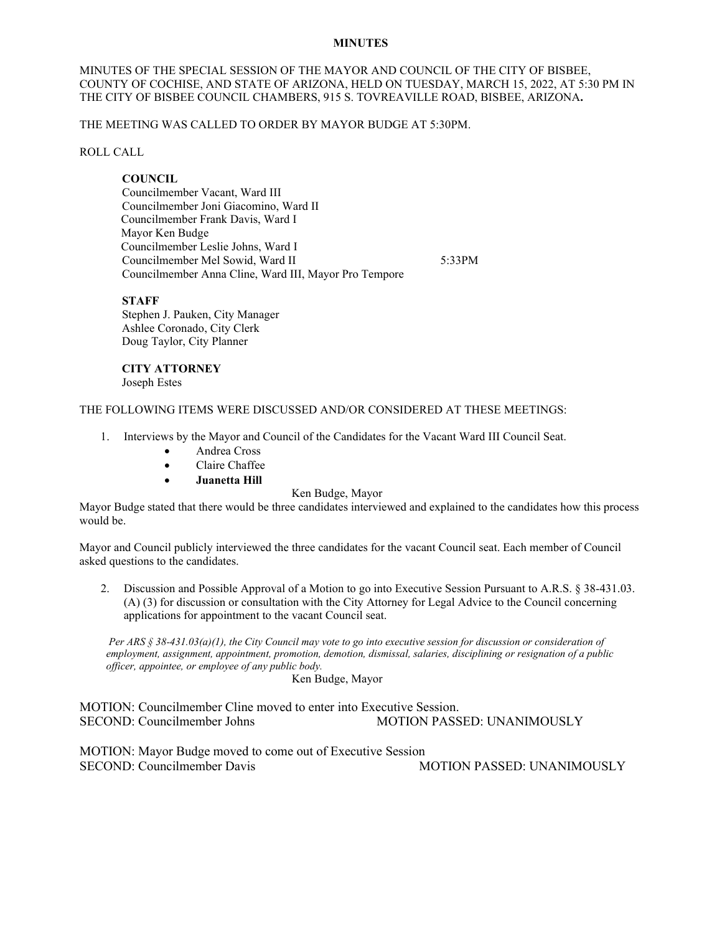# **MINUTES**

MINUTES OF THE SPECIAL SESSION OF THE MAYOR AND COUNCIL OF THE CITY OF BISBEE, COUNTY OF COCHISE, AND STATE OF ARIZONA, HELD ON TUESDAY, MARCH 15, 2022, AT 5:30 PM IN THE CITY OF BISBEE COUNCIL CHAMBERS, 915 S. TOVREAVILLE ROAD, BISBEE, ARIZONA**.**

THE MEETING WAS CALLED TO ORDER BY MAYOR BUDGE AT 5:30PM.

ROLL CALL

# **COUNCIL**

Councilmember Vacant, Ward III Councilmember Joni Giacomino, Ward II Councilmember Frank Davis, Ward I Mayor Ken Budge Councilmember Leslie Johns, Ward I Councilmember Mel Sowid, Ward II 5:33PM Councilmember Anna Cline, Ward III, Mayor Pro Tempore

# **STAFF**

Stephen J. Pauken, City Manager Ashlee Coronado, City Clerk Doug Taylor, City Planner

#### **CITY ATTORNEY** Joseph Estes

# THE FOLLOWING ITEMS WERE DISCUSSED AND/OR CONSIDERED AT THESE MEETINGS:

- 1. Interviews by the Mayor and Council of the Candidates for the Vacant Ward III Council Seat.
	- Andrea Cross
	- Claire Chaffee
	- **Juanetta Hill**

#### Ken Budge, Mayor

Mayor Budge stated that there would be three candidates interviewed and explained to the candidates how this process would be.

Mayor and Council publicly interviewed the three candidates for the vacant Council seat. Each member of Council asked questions to the candidates.

2. Discussion and Possible Approval of a Motion to go into Executive Session Pursuant to A.R.S. § 38-431.03. (A) (3) for discussion or consultation with the City Attorney for Legal Advice to the Council concerning applications for appointment to the vacant Council seat.

*Per ARS § 38-431.03(a)(1), the City Council may vote to go into executive session for discussion or consideration of employment, assignment, appointment, promotion, demotion, dismissal, salaries, disciplining or resignation of a public officer, appointee, or employee of any public body.*

Ken Budge, Mayor

MOTION: Councilmember Cline moved to enter into Executive Session. SECOND: Councilmember Johns MOTION PASSED: UNANIMOUSLY

MOTION: Mayor Budge moved to come out of Executive Session SECOND: Councilmember Davis MOTION PASSED: UNANIMOUSLY